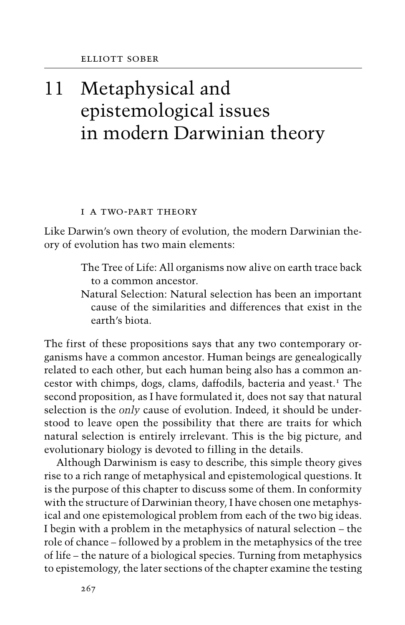# 11 Metaphysical and epistemological issues in modern Darwinian theory

### i a two-part theory

Like Darwin's own theory of evolution, the modern Darwinian theory of evolution has two main elements:

- The Tree of Life: All organisms now alive on earth trace back to a common ancestor.
- Natural Selection: Natural selection has been an important cause of the similarities and differences that exist in the earth's biota.

The first of these propositions says that any two contemporary organisms have a common ancestor. Human beings are genealogically related to each other, but each human being also has a common ancestor with chimps, dogs, clams, daffodils, bacteria and yeast.<sup>1</sup> The second proposition, as I have formulated it, does not say that natural selection is the *only* cause of evolution. Indeed, it should be understood to leave open the possibility that there are traits for which natural selection is entirely irrelevant. This is the big picture, and evolutionary biology is devoted to filling in the details.

Although Darwinism is easy to describe, this simple theory gives rise to a rich range of metaphysical and epistemological questions. It is the purpose of this chapter to discuss some of them. In conformity with the structure of Darwinian theory, I have chosen one metaphysical and one epistemological problem from each of the two big ideas. I begin with a problem in the metaphysics of natural selection – the role of chance – followed by a problem in the metaphysics of the tree of life – the nature of a biological species. Turning from metaphysics to epistemology, the later sections of the chapter examine the testing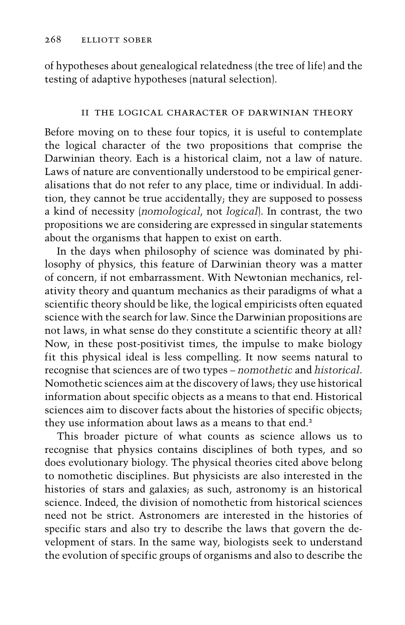of hypotheses about genealogical relatedness (the tree of life) and the testing of adaptive hypotheses (natural selection).

## ii the logical character of darwinian theory

Before moving on to these four topics, it is useful to contemplate the logical character of the two propositions that comprise the Darwinian theory. Each is a historical claim, not a law of nature. Laws of nature are conventionally understood to be empirical generalisations that do not refer to any place, time or individual. In addition, they cannot be true accidentally; they are supposed to possess a kind of necessity (*nomological*, not *logical*). In contrast, the two propositions we are considering are expressed in singular statements about the organisms that happen to exist on earth.

In the days when philosophy of science was dominated by philosophy of physics, this feature of Darwinian theory was a matter of concern, if not embarrassment. With Newtonian mechanics, relativity theory and quantum mechanics as their paradigms of what a scientific theory should be like, the logical empiricists often equated science with the search for law. Since the Darwinian propositions are not laws, in what sense do they constitute a scientific theory at all? Now, in these post-positivist times, the impulse to make biology fit this physical ideal is less compelling. It now seems natural to recognise that sciences are of two types – *nomothetic* and *historical*. Nomothetic sciences aim at the discovery of laws; they use historical information about specific objects as a means to that end. Historical sciences aim to discover facts about the histories of specific objects; they use information about laws as a means to that end.<sup>2</sup>

This broader picture of what counts as science allows us to recognise that physics contains disciplines of both types, and so does evolutionary biology. The physical theories cited above belong to nomothetic disciplines. But physicists are also interested in the histories of stars and galaxies; as such, astronomy is an historical science. Indeed, the division of nomothetic from historical sciences need not be strict. Astronomers are interested in the histories of specific stars and also try to describe the laws that govern the development of stars. In the same way, biologists seek to understand the evolution of specific groups of organisms and also to describe the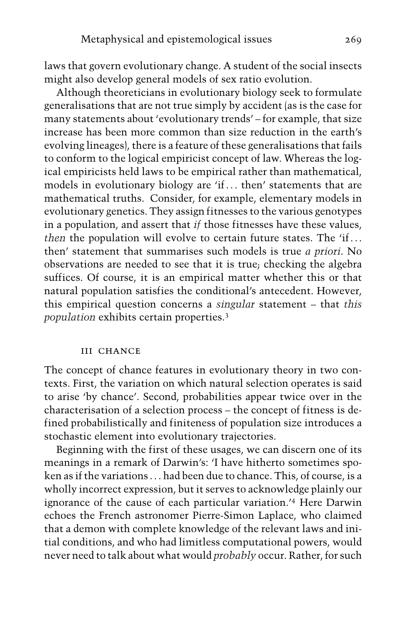laws that govern evolutionary change. A student of the social insects might also develop general models of sex ratio evolution.

Although theoreticians in evolutionary biology seek to formulate generalisations that are not true simply by accident (as is the case for many statements about 'evolutionary trends' – for example, that size increase has been more common than size reduction in the earth's evolving lineages), there is a feature of these generalisations that fails to conform to the logical empiricist concept of law. Whereas the logical empiricists held laws to be empirical rather than mathematical, models in evolutionary biology are 'if... then' statements that are mathematical truths. Consider, for example, elementary models in evolutionary genetics. They assign fitnesses to the various genotypes in a population, and assert that *if* those fitnesses have these values, *then* the population will evolve to certain future states. The 'if... then' statement that summarises such models is true *a priori*. No observations are needed to see that it is true; checking the algebra suffices. Of course, it is an empirical matter whether this or that natural population satisfies the conditional's antecedent. However, this empirical question concerns a *singular* statement – that *this population* exhibits certain properties.<sup>3</sup>

## iii chance

The concept of chance features in evolutionary theory in two contexts. First, the variation on which natural selection operates is said to arise 'by chance'. Second, probabilities appear twice over in the characterisation of a selection process – the concept of fitness is defined probabilistically and finiteness of population size introduces a stochastic element into evolutionary trajectories.

Beginning with the first of these usages, we can discern one of its meanings in a remark of Darwin's: 'I have hitherto sometimes spoken as if the variations . . . had been due to chance. This, of course, is a wholly incorrect expression, but it serves to acknowledge plainly our ignorance of the cause of each particular variation.'<sup>4</sup> Here Darwin echoes the French astronomer Pierre-Simon Laplace, who claimed that a demon with complete knowledge of the relevant laws and initial conditions, and who had limitless computational powers, would never need to talkabout what would *probably* occur. Rather, for such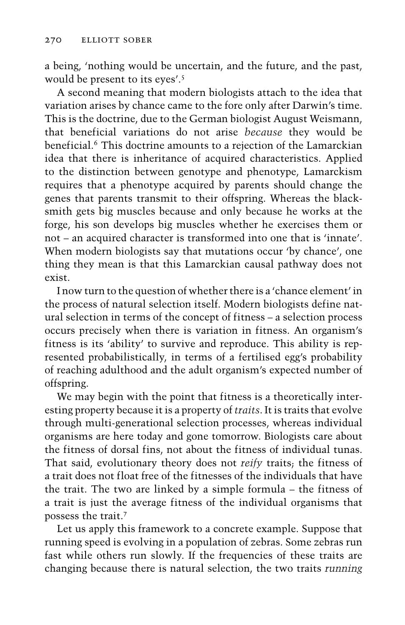a being, 'nothing would be uncertain, and the future, and the past, would be present to its eyes'.<sup>5</sup>

A second meaning that modern biologists attach to the idea that variation arises by chance came to the fore only after Darwin's time. This is the doctrine, due to the German biologist August Weismann, that beneficial variations do not arise *because* they would be beneficial.<sup>6</sup> This doctrine amounts to a rejection of the Lamarckian idea that there is inheritance of acquired characteristics. Applied to the distinction between genotype and phenotype, Lamarckism requires that a phenotype acquired by parents should change the genes that parents transmit to their offspring. Whereas the blacksmith gets big muscles because and only because he works at the forge, his son develops big muscles whether he exercises them or not – an acquired character is transformed into one that is 'innate'. When modern biologists say that mutations occur 'by chance', one thing they mean is that this Lamarckian causal pathway does not exist.

I now turn to the question of whether there is a 'chance element' in the process of natural selection itself. Modern biologists define natural selection in terms of the concept of fitness – a selection process occurs precisely when there is variation in fitness. An organism's fitness is its 'ability' to survive and reproduce. This ability is represented probabilistically, in terms of a fertilised egg's probability of reaching adulthood and the adult organism's expected number of offspring.

We may begin with the point that fitness is a theoretically interesting property because it is a property of*traits*. It is traits that evolve through multi-generational selection processes, whereas individual organisms are here today and gone tomorrow. Biologists care about the fitness of dorsal fins, not about the fitness of individual tunas. That said, evolutionary theory does not *reify* traits; the fitness of a trait does not float free of the fitnesses of the individuals that have the trait. The two are linked by a simple formula – the fitness of a trait is just the average fitness of the individual organisms that possess the trait.<sup>7</sup>

Let us apply this framework to a concrete example. Suppose that running speed is evolving in a population of zebras. Some zebras run fast while others run slowly. If the frequencies of these traits are changing because there is natural selection, the two traits *running*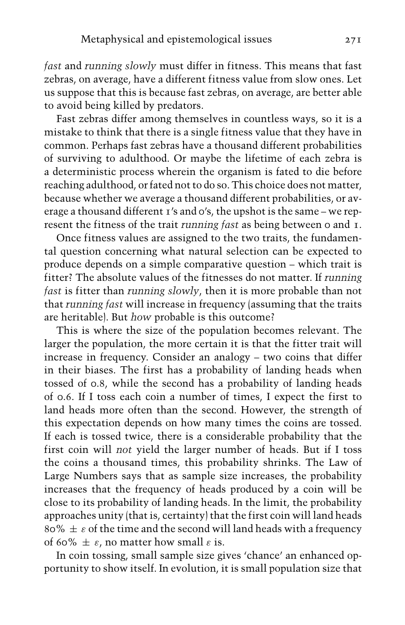*fast* and *running slowly* must differ in fitness. This means that fast zebras, on average, have a different fitness value from slow ones. Let us suppose that this is because fast zebras, on average, are better able to avoid being killed by predators.

Fast zebras differ among themselves in countless ways, so it is a mistake to think that there is a single fitness value that they have in common. Perhaps fast zebras have a thousand different probabilities of surviving to adulthood. Or maybe the lifetime of each zebra is a deterministic process wherein the organism is fated to die before reaching adulthood, or fated not to do so. This choice does not matter, because whether we average a thousand different probabilities, or average a thousand different 1's and 0's, the upshot is the same – we represent the fitness of the trait *running fast* as being between 0 and 1.

Once fitness values are assigned to the two traits, the fundamental question concerning what natural selection can be expected to produce depends on a simple comparative question – which trait is fitter? The absolute values of the fitnesses do not matter. If *running fast* is fitter than *running slowly*, then it is more probable than not that *running fast* will increase in frequency (assuming that the traits are heritable). But *how* probable is this outcome?

This is where the size of the population becomes relevant. The larger the population, the more certain it is that the fitter trait will increase in frequency. Consider an analogy – two coins that differ in their biases. The first has a probability of landing heads when tossed of 0.8, while the second has a probability of landing heads of 0.6. If I toss each coin a number of times, I expect the first to land heads more often than the second. However, the strength of this expectation depends on how many times the coins are tossed. If each is tossed twice, there is a considerable probability that the first coin will *not* yield the larger number of heads. But if I toss the coins a thousand times, this probability shrinks. The Law of Large Numbers says that as sample size increases, the probability increases that the frequency of heads produced by a coin will be close to its probability of landing heads. In the limit, the probability approaches unity (that is, certainty) that the first coin will land heads 80%  $\pm \varepsilon$  of the time and the second will land heads with a frequency of 60%  $\pm$  ε, no matter how small ε is.

In coin tossing, small sample size gives 'chance' an enhanced opportunity to show itself. In evolution, it is small population size that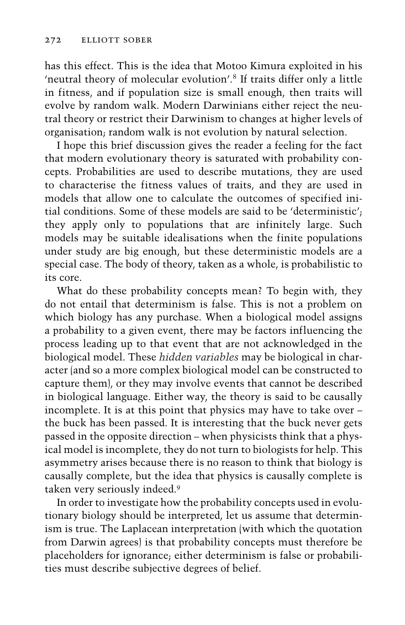has this effect. This is the idea that Motoo Kimura exploited in his 'neutral theory of molecular evolution'.<sup>8</sup> If traits differ only a little in fitness, and if population size is small enough, then traits will evolve by random walk. Modern Darwinians either reject the neutral theory or restrict their Darwinism to changes at higher levels of organisation; random walk is not evolution by natural selection.

I hope this brief discussion gives the reader a feeling for the fact that modern evolutionary theory is saturated with probability concepts. Probabilities are used to describe mutations, they are used to characterise the fitness values of traits, and they are used in models that allow one to calculate the outcomes of specified initial conditions. Some of these models are said to be 'deterministic'; they apply only to populations that are infinitely large. Such models may be suitable idealisations when the finite populations under study are big enough, but these deterministic models are a special case. The body of theory, taken as a whole, is probabilistic to its core.

What do these probability concepts mean? To begin with, they do not entail that determinism is false. This is not a problem on which biology has any purchase. When a biological model assigns a probability to a given event, there may be factors influencing the process leading up to that event that are not acknowledged in the biological model. These *hidden variables* may be biological in character (and so a more complex biological model can be constructed to capture them), or they may involve events that cannot be described in biological language. Either way, the theory is said to be causally incomplete. It is at this point that physics may have to take over – the buck has been passed. It is interesting that the buck never gets passed in the opposite direction – when physicists think that a physical model is incomplete, they do not turn to biologists for help. This asymmetry arises because there is no reason to think that biology is causally complete, but the idea that physics is causally complete is taken very seriously indeed.<sup>9</sup>

In order to investigate how the probability concepts used in evolutionary biology should be interpreted, let us assume that determinism is true. The Laplacean interpretation (with which the quotation from Darwin agrees) is that probability concepts must therefore be placeholders for ignorance; either determinism is false or probabilities must describe subjective degrees of belief.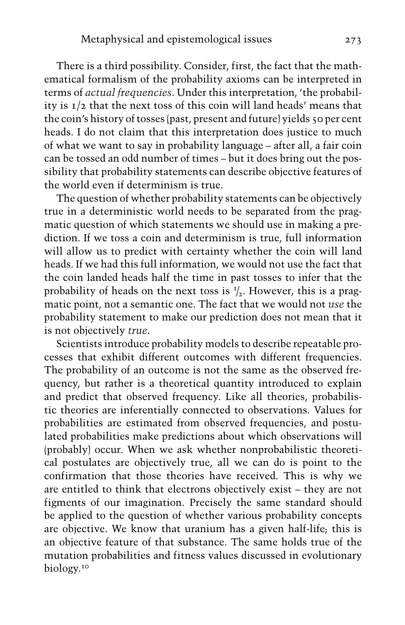There is a third possibility. Consider, first, the fact that the mathematical formalism of the probability axioms can be interpreted in terms of *actual frequencies*. Under this interpretation, 'the probability is 1/2 that the next toss of this coin will land heads' means that the coin's history of tosses (past, present and future) yields 50 per cent heads. I do not claim that this interpretation does justice to much of what we want to say in probability language – after all, a fair coin can be tossed an odd number of times – but it does bring out the possibility that probability statements can describe objective features of the world even if determinism is true.

The question of whether probability statements can be objectively true in a deterministic world needs to be separated from the pragmatic question of which statements we should use in making a prediction. If we toss a coin and determinism is true, full information will allow us to predict with certainty whether the coin will land heads. If we had this full information, we would not use the fact that the coin landed heads half the time in past tosses to infer that the probability of heads on the next toss is  $\frac{1}{2}$ . However, this is a pragmatic point, not a semantic one. The fact that we would not *use* the probability statement to make our prediction does not mean that it is not objectively *true*.

Scientists introduce probability models to describe repeatable processes that exhibit different outcomes with different frequencies. The probability of an outcome is not the same as the observed frequency, but rather is a theoretical quantity introduced to explain and predict that observed frequency. Like all theories, probabilistic theories are inferentially connected to observations. Values for probabilities are estimated from observed frequencies, and postulated probabilities make predictions about which observations will (probably) occur. When we askwhether nonprobabilistic theoretical postulates are objectively true, all we can do is point to the confirmation that those theories have received. This is why we are entitled to think that electrons objectively exist – they are not figments of our imagination. Precisely the same standard should be applied to the question of whether various probability concepts are objective. We know that uranium has a given half-life; this is an objective feature of that substance. The same holds true of the mutation probabilities and fitness values discussed in evolutionary biology.<sup>10</sup>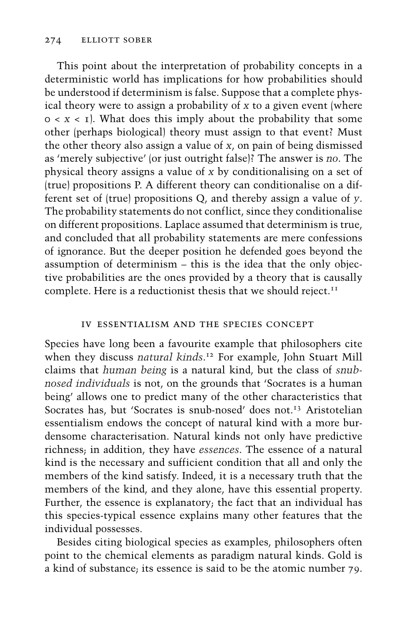This point about the interpretation of probability concepts in a deterministic world has implications for how probabilities should be understood if determinism is false. Suppose that a complete physical theory were to assign a probability of *x* to a given event (where  $0 \leq x \leq 1$ . What does this imply about the probability that some other (perhaps biological) theory must assign to that event? Must the other theory also assign a value of *x*, on pain of being dismissed as 'merely subjective' (or just outright false)? The answer is *no*. The physical theory assigns a value of *x* by conditionalising on a set of (true) propositions P. A different theory can conditionalise on a different set of (true) propositions Q, and thereby assign a value of *y*. The probability statements do not conflict, since they conditionalise on different propositions. Laplace assumed that determinism is true, and concluded that all probability statements are mere confessions of ignorance. But the deeper position he defended goes beyond the assumption of determinism – this is the idea that the only objective probabilities are the ones provided by a theory that is causally complete. Here is a reductionist thesis that we should reject.<sup>11</sup>

### iv essentialism and the species concept

Species have long been a favourite example that philosophers cite when they discuss *natural kinds*. <sup>12</sup> For example, John Stuart Mill claims that *human being* is a natural kind, but the class of *snubnosed individuals* is not, on the grounds that 'Socrates is a human being' allows one to predict many of the other characteristics that Socrates has, but 'Socrates is snub-nosed' does not.<sup>13</sup> Aristotelian essentialism endows the concept of natural kind with a more burdensome characterisation. Natural kinds not only have predictive richness; in addition, they have *essences*. The essence of a natural kind is the necessary and sufficient condition that all and only the members of the kind satisfy. Indeed, it is a necessary truth that the members of the kind, and they alone, have this essential property. Further, the essence is explanatory; the fact that an individual has this species-typical essence explains many other features that the individual possesses.

Besides citing biological species as examples, philosophers often point to the chemical elements as paradigm natural kinds. Gold is a kind of substance; its essence is said to be the atomic number 79.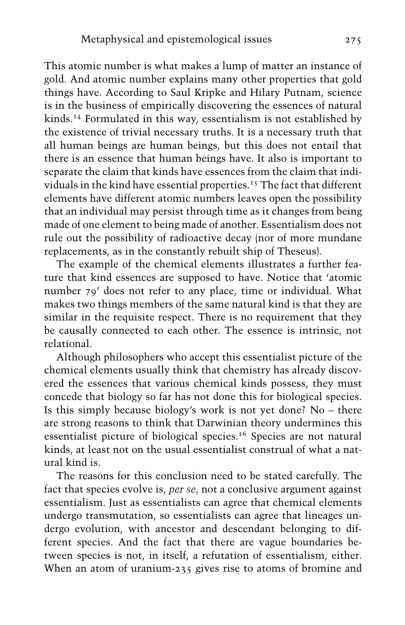This atomic number is what makes a lump of matter an instance of gold. And atomic number explains many other properties that gold things have. According to Saul Kripke and Hilary Putnam, science is in the business of empirically discovering the essences of natural kinds.<sup>14</sup> Formulated in this way, essentialism is not established by the existence of trivial necessary truths. It is a necessary truth that all human beings are human beings, but this does not entail that there is an essence that human beings have. It also is important to separate the claim that kinds have essences from the claim that individuals in the kind have essential properties.<sup>15</sup> The fact that different elements have different atomic numbers leaves open the possibility that an individual may persist through time as it changes from being made of one element to being made of another. Essentialism does not rule out the possibility of radioactive decay (nor of more mundane replacements, as in the constantly rebuilt ship of Theseus).

The example of the chemical elements illustrates a further feature that kind essences are supposed to have. Notice that 'atomic number 79' does not refer to any place, time or individual. What makes two things members of the same natural kind is that they are similar in the requisite respect. There is no requirement that they be causally connected to each other. The essence is intrinsic, not relational.

Although philosophers who accept this essentialist picture of the chemical elements usually think that chemistry has already discovered the essences that various chemical kinds possess, they must concede that biology so far has not done this for biological species. Is this simply because biology's work is not yet done? No – there are strong reasons to think that Darwinian theory undermines this essentialist picture of biological species.<sup>16</sup> Species are not natural kinds, at least not on the usual essentialist construal of what a natural kind is.

The reasons for this conclusion need to be stated carefully. The fact that species evolve is, *per se*, not a conclusive argument against essentialism. Just as essentialists can agree that chemical elements undergo transmutation, so essentialists can agree that lineages undergo evolution, with ancestor and descendant belonging to different species. And the fact that there are vague boundaries between species is not, in itself, a refutation of essentialism, either. When an atom of uranium-235 gives rise to atoms of bromine and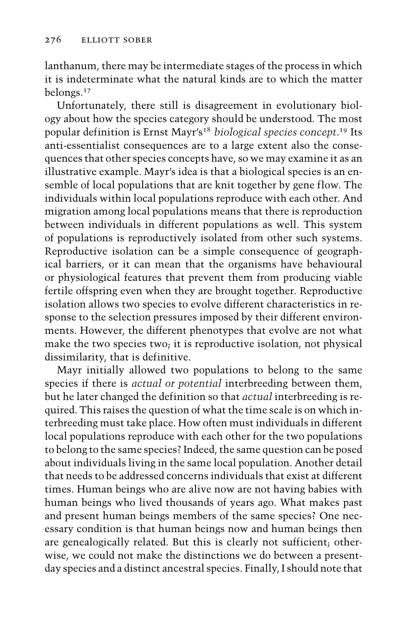lanthanum, there may be intermediate stages of the process in which it is indeterminate what the natural kinds are to which the matter belongs.<sup>17</sup>

Unfortunately, there still is disagreement in evolutionary biology about how the species category should be understood. The most popular definition is Ernst Mayr's<sup>18</sup> biological species concept.<sup>19</sup> Its anti-essentialist consequences are to a large extent also the consequences that other species concepts have, so we may examine it as an illustrative example. Mayr's idea is that a biological species is an ensemble of local populations that are knit together by gene flow. The individuals within local populations reproduce with each other. And migration among local populations means that there is reproduction between individuals in different populations as well. This system of populations is reproductively isolated from other such systems. Reproductive isolation can be a simple consequence of geographical barriers, or it can mean that the organisms have behavioural or physiological features that prevent them from producing viable fertile offspring even when they are brought together. Reproductive isolation allows two species to evolve different characteristics in response to the selection pressures imposed by their different environments. However, the different phenotypes that evolve are not what make the two species two; it is reproductive isolation, not physical dissimilarity, that is definitive.

Mayr initially allowed two populations to belong to the same species if there is *actual or potential* interbreeding between them, but he later changed the definition so that *actual* interbreeding is required. This raises the question of what the time scale is on which interbreeding must take place. How often must individuals in different local populations reproduce with each other for the two populations to belong to the same species? Indeed, the same question can be posed about individuals living in the same local population. Another detail that needs to be addressed concerns individuals that exist at different times. Human beings who are alive now are not having babies with human beings who lived thousands of years ago. What makes past and present human beings members of the same species? One necessary condition is that human beings now and human beings then are genealogically related. But this is clearly not sufficient; otherwise, we could not make the distinctions we do between a presentday species and a distinct ancestral species. Finally, I should note that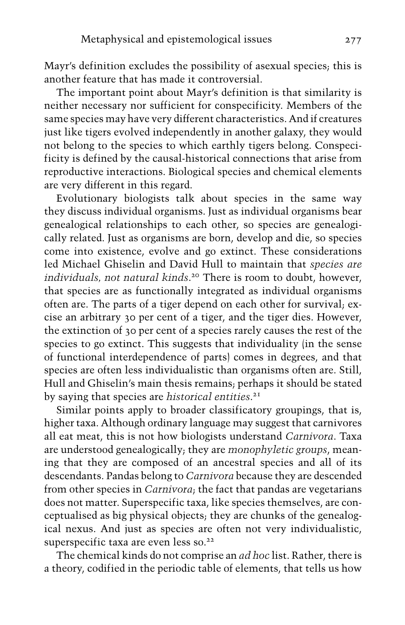Mayr's definition excludes the possibility of asexual species; this is another feature that has made it controversial.

The important point about Mayr's definition is that similarity is neither necessary nor sufficient for conspecificity. Members of the same species may have very different characteristics. And if creatures just like tigers evolved independently in another galaxy, they would not belong to the species to which earthly tigers belong. Conspecificity is defined by the causal-historical connections that arise from reproductive interactions. Biological species and chemical elements are very different in this regard.

Evolutionary biologists talkabout species in the same way they discuss individual organisms. Just as individual organisms bear genealogical relationships to each other, so species are genealogically related. Just as organisms are born, develop and die, so species come into existence, evolve and go extinct. These considerations led Michael Ghiselin and David Hull to maintain that *species are individuals, not natural kinds*. <sup>20</sup> There is room to doubt, however, that species are as functionally integrated as individual organisms often are. The parts of a tiger depend on each other for survival; excise an arbitrary 30 per cent of a tiger, and the tiger dies. However, the extinction of 30 per cent of a species rarely causes the rest of the species to go extinct. This suggests that individuality (in the sense of functional interdependence of parts) comes in degrees, and that species are often less individualistic than organisms often are. Still, Hull and Ghiselin's main thesis remains; perhaps it should be stated by saying that species are *historical entities*. 21

Similar points apply to broader classificatory groupings, that is, higher taxa. Although ordinary language may suggest that carnivores all eat meat, this is not how biologists understand *Carnivora*. Taxa are understood genealogically; they are *monophyletic groups*, meaning that they are composed of an ancestral species and all of its descendants. Pandas belong to *Carnivora* because they are descended from other species in *Carnivora*; the fact that pandas are vegetarians does not matter. Superspecific taxa, like species themselves, are conceptualised as big physical objects; they are chunks of the genealogical nexus. And just as species are often not very individualistic, superspecific taxa are even less so.<sup>22</sup>

The chemical kinds do not comprise an *ad hoc* list. Rather, there is a theory, codified in the periodic table of elements, that tells us how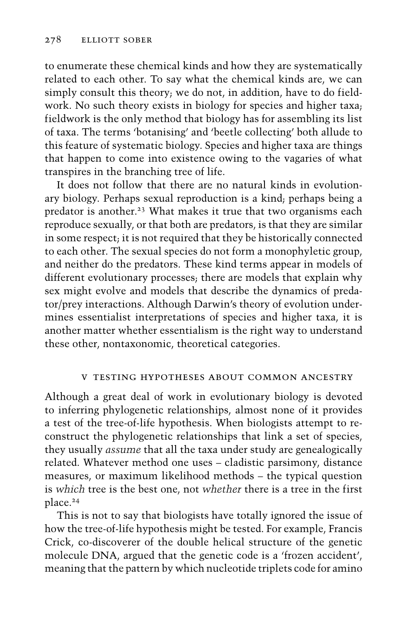to enumerate these chemical kinds and how they are systematically related to each other. To say what the chemical kinds are, we can simply consult this theory; we do not, in addition, have to do fieldwork. No such theory exists in biology for species and higher taxa; fieldwork is the only method that biology has for assembling its list of taxa. The terms 'botanising' and 'beetle collecting' both allude to this feature of systematic biology. Species and higher taxa are things that happen to come into existence owing to the vagaries of what transpires in the branching tree of life.

It does not follow that there are no natural kinds in evolutionary biology. Perhaps sexual reproduction is a kind; perhaps being a predator is another.<sup>23</sup> What makes it true that two organisms each reproduce sexually, or that both are predators, is that they are similar in some respect; it is not required that they be historically connected to each other. The sexual species do not form a monophyletic group, and neither do the predators. These kind terms appear in models of different evolutionary processes; there are models that explain why sex might evolve and models that describe the dynamics of predator/prey interactions. Although Darwin's theory of evolution undermines essentialist interpretations of species and higher taxa, it is another matter whether essentialism is the right way to understand these other, nontaxonomic, theoretical categories.

## v testing hypotheses about common ancestry

Although a great deal of work in evolutionary biology is devoted to inferring phylogenetic relationships, almost none of it provides a test of the tree-of-life hypothesis. When biologists attempt to reconstruct the phylogenetic relationships that link a set of species, they usually *assume* that all the taxa under study are genealogically related. Whatever method one uses – cladistic parsimony, distance measures, or maximum likelihood methods – the typical question is *which* tree is the best one, not *whether* there is a tree in the first place.<sup>24</sup>

This is not to say that biologists have totally ignored the issue of how the tree-of-life hypothesis might be tested. For example, Francis Crick, co-discoverer of the double helical structure of the genetic molecule DNA, argued that the genetic code is a 'frozen accident', meaning that the pattern by which nucleotide triplets code for amino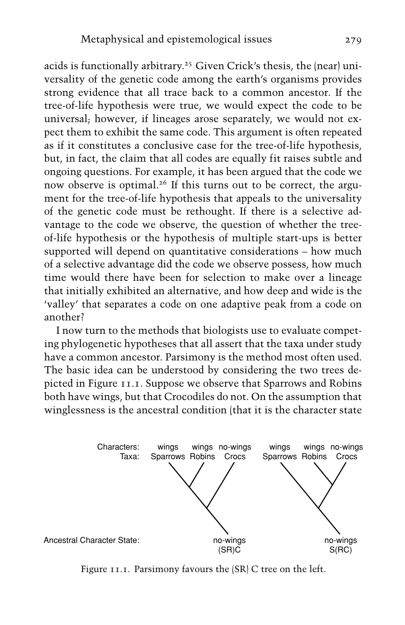acids is functionally arbitrary.<sup>25</sup> Given Crick's thesis, the (near) universality of the genetic code among the earth's organisms provides strong evidence that all trace back to a common ancestor. If the tree-of-life hypothesis were true, we would expect the code to be universal; however, if lineages arose separately, we would not expect them to exhibit the same code. This argument is often repeated as if it constitutes a conclusive case for the tree-of-life hypothesis, but, in fact, the claim that all codes are equally fit raises subtle and ongoing questions. For example, it has been argued that the code we now observe is optimal.<sup>26</sup> If this turns out to be correct, the argument for the tree-of-life hypothesis that appeals to the universality of the genetic code must be rethought. If there is a selective advantage to the code we observe, the question of whether the treeof-life hypothesis or the hypothesis of multiple start-ups is better supported will depend on quantitative considerations – how much of a selective advantage did the code we observe possess, how much time would there have been for selection to make over a lineage that initially exhibited an alternative, and how deep and wide is the 'valley' that separates a code on one adaptive peak from a code on another?

I now turn to the methods that biologists use to evaluate competing phylogenetic hypotheses that all assert that the taxa under study have a common ancestor. Parsimony is the method most often used. The basic idea can be understood by considering the two trees depicted in Figure 11.1. Suppose we observe that Sparrows and Robins both have wings, but that Crocodiles do not. On the assumption that winglessness is the ancestral condition (that it is the character state



Figure 11.1. Parsimony favours the (SR) C tree on the left.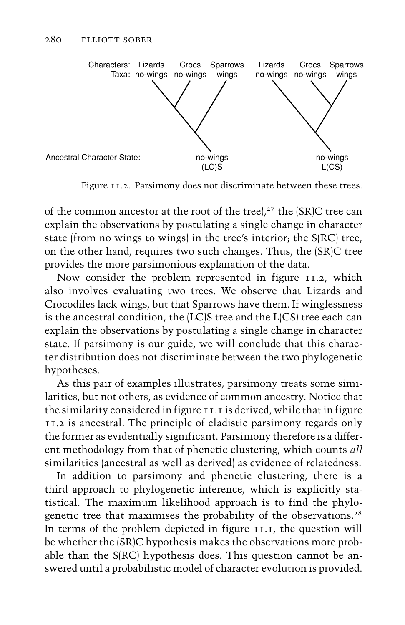

Figure 11.2. Parsimony does not discriminate between these trees.

of the common ancestor at the root of the tree),<sup>27</sup> the (SR)C tree can explain the observations by postulating a single change in character state (from no wings to wings) in the tree's interior; the S(RC) tree, on the other hand, requires two such changes. Thus, the (SR)C tree provides the more parsimonious explanation of the data.

Now consider the problem represented in figure 11.2, which also involves evaluating two trees. We observe that Lizards and Crocodiles lackwings, but that Sparrows have them. If winglessness is the ancestral condition, the (LC)S tree and the L(CS) tree each can explain the observations by postulating a single change in character state. If parsimony is our guide, we will conclude that this character distribution does not discriminate between the two phylogenetic hypotheses.

As this pair of examples illustrates, parsimony treats some similarities, but not others, as evidence of common ancestry. Notice that the similarity considered in figure 11.1 is derived, while that in figure 11.2 is ancestral. The principle of cladistic parsimony regards only the former as evidentially significant. Parsimony therefore is a different methodology from that of phenetic clustering, which counts *all* similarities (ancestral as well as derived) as evidence of relatedness.

In addition to parsimony and phenetic clustering, there is a third approach to phylogenetic inference, which is explicitly statistical. The maximum likelihood approach is to find the phylogenetic tree that maximises the probability of the observations.<sup>28</sup> In terms of the problem depicted in figure 11.1, the question will be whether the (SR)C hypothesis makes the observations more probable than the S(RC) hypothesis does. This question cannot be answered until a probabilistic model of character evolution is provided.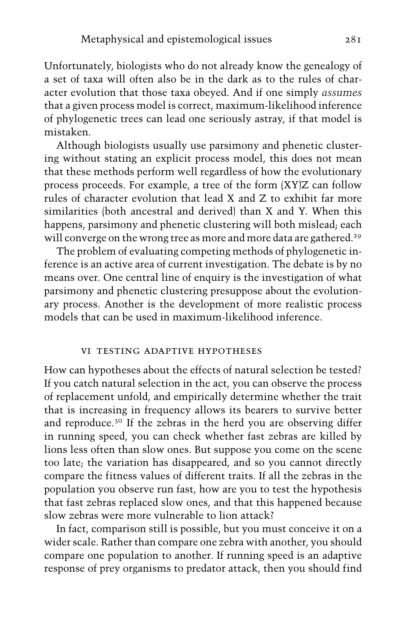Unfortunately, biologists who do not already know the genealogy of a set of taxa will often also be in the darkas to the rules of character evolution that those taxa obeyed. And if one simply *assumes* that a given process model is correct, maximum-likelihood inference of phylogenetic trees can lead one seriously astray, if that model is mistaken.

Although biologists usually use parsimony and phenetic clustering without stating an explicit process model, this does not mean that these methods perform well regardless of how the evolutionary process proceeds. For example, a tree of the form (XY)Z can follow rules of character evolution that lead X and Z to exhibit far more similarities (both ancestral and derived) than X and Y. When this happens, parsimony and phenetic clustering will both mislead; each will converge on the wrong tree as more and more data are gathered.<sup>29</sup>

The problem of evaluating competing methods of phylogenetic inference is an active area of current investigation. The debate is by no means over. One central line of enquiry is the investigation of what parsimony and phenetic clustering presuppose about the evolutionary process. Another is the development of more realistic process models that can be used in maximum-likelihood inference.

## vi testing adaptive hypotheses

How can hypotheses about the effects of natural selection be tested? If you catch natural selection in the act, you can observe the process of replacement unfold, and empirically determine whether the trait that is increasing in frequency allows its bearers to survive better and reproduce.<sup>30</sup> If the zebras in the herd you are observing differ in running speed, you can checkwhether fast zebras are killed by lions less often than slow ones. But suppose you come on the scene too late; the variation has disappeared, and so you cannot directly compare the fitness values of different traits. If all the zebras in the population you observe run fast, how are you to test the hypothesis that fast zebras replaced slow ones, and that this happened because slow zebras were more vulnerable to lion attack?

In fact, comparison still is possible, but you must conceive it on a wider scale. Rather than compare one zebra with another, you should compare one population to another. If running speed is an adaptive response of prey organisms to predator attack, then you should find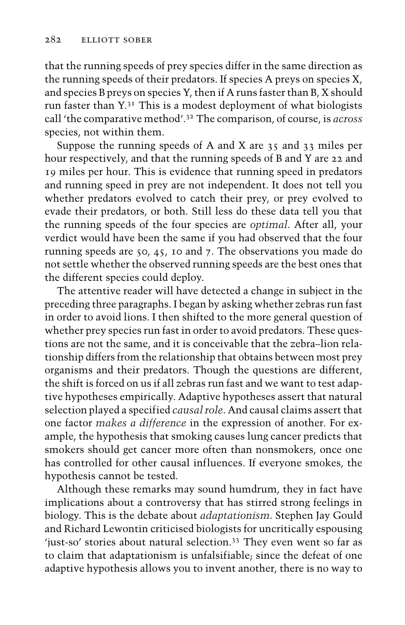that the running speeds of prey species differ in the same direction as the running speeds of their predators. If species A preys on species X, and species B preys on species Y, then if A runs faster than B, X should run faster than  $Y^3$ <sup>1</sup> This is a modest deployment of what biologists call 'the comparative method'.<sup>32</sup> The comparison, of course, is *across* species, not within them.

Suppose the running speeds of A and X are 35 and 33 miles per hour respectively, and that the running speeds of B and Y are 22 and 19 miles per hour. This is evidence that running speed in predators and running speed in prey are not independent. It does not tell you whether predators evolved to catch their prey, or prey evolved to evade their predators, or both. Still less do these data tell you that the running speeds of the four species are *optimal*. After all, your verdict would have been the same if you had observed that the four running speeds are 50, 45, 10 and 7. The observations you made do not settle whether the observed running speeds are the best ones that the different species could deploy.

The attentive reader will have detected a change in subject in the preceding three paragraphs. I began by asking whether zebras run fast in order to avoid lions. I then shifted to the more general question of whether prey species run fast in order to avoid predators. These questions are not the same, and it is conceivable that the zebra–lion relationship differs from the relationship that obtains between most prey organisms and their predators. Though the questions are different, the shift is forced on us if all zebras run fast and we want to test adaptive hypotheses empirically. Adaptive hypotheses assert that natural selection played a specified *causal role*. And causal claims assert that one factor *makes a difference* in the expression of another. For example, the hypothesis that smoking causes lung cancer predicts that smokers should get cancer more often than nonsmokers, once one has controlled for other causal influences. If everyone smokes, the hypothesis cannot be tested.

Although these remarks may sound humdrum, they in fact have implications about a controversy that has stirred strong feelings in biology. This is the debate about *adaptationism*. Stephen Jay Gould and Richard Lewontin criticised biologists for uncritically espousing 'just-so' stories about natural selection.<sup>33</sup> They even went so far as to claim that adaptationism is unfalsifiable; since the defeat of one adaptive hypothesis allows you to invent another, there is no way to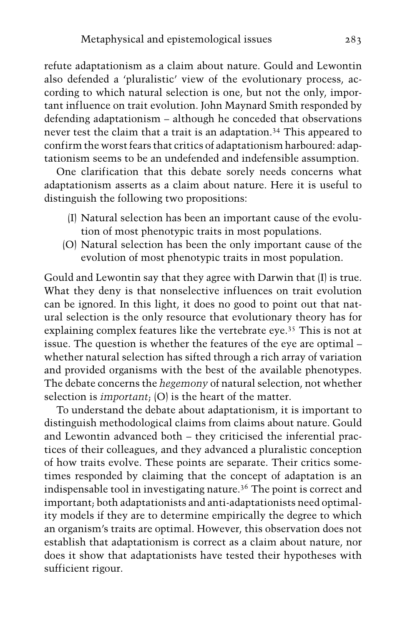refute adaptationism as a claim about nature. Gould and Lewontin also defended a 'pluralistic' view of the evolutionary process, according to which natural selection is one, but not the only, important influence on trait evolution. John Maynard Smith responded by defending adaptationism – although he conceded that observations never test the claim that a trait is an adaptation.<sup>34</sup> This appeared to confirm the worst fears that critics of adaptationism harboured: adaptationism seems to be an undefended and indefensible assumption.

One clarification that this debate sorely needs concerns what adaptationism asserts as a claim about nature. Here it is useful to distinguish the following two propositions:

- (I) Natural selection has been an important cause of the evolution of most phenotypic traits in most populations.
- (O) Natural selection has been the only important cause of the evolution of most phenotypic traits in most population.

Gould and Lewontin say that they agree with Darwin that (I) is true. What they deny is that nonselective influences on trait evolution can be ignored. In this light, it does no good to point out that natural selection is the only resource that evolutionary theory has for explaining complex features like the vertebrate eye.<sup>35</sup> This is not at issue. The question is whether the features of the eye are optimal – whether natural selection has sifted through a rich array of variation and provided organisms with the best of the available phenotypes. The debate concerns the *hegemony* of natural selection, not whether selection is *important*; (O) is the heart of the matter.

To understand the debate about adaptationism, it is important to distinguish methodological claims from claims about nature. Gould and Lewontin advanced both – they criticised the inferential practices of their colleagues, and they advanced a pluralistic conception of how traits evolve. These points are separate. Their critics sometimes responded by claiming that the concept of adaptation is an indispensable tool in investigating nature.<sup>36</sup> The point is correct and important; both adaptationists and anti-adaptationists need optimality models if they are to determine empirically the degree to which an organism's traits are optimal. However, this observation does not establish that adaptationism is correct as a claim about nature, nor does it show that adaptationists have tested their hypotheses with sufficient rigour.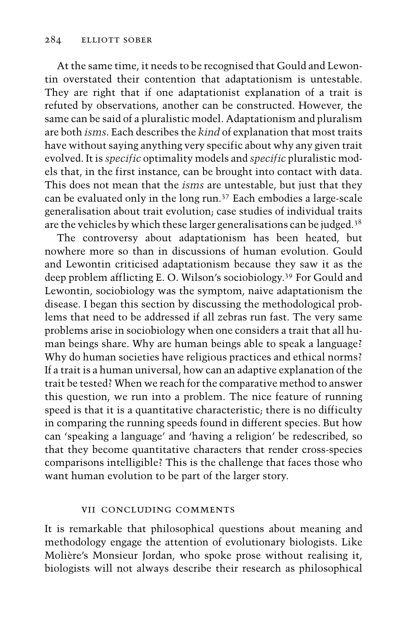At the same time, it needs to be recognised that Gould and Lewontin overstated their contention that adaptationism is untestable. They are right that if one adaptationist explanation of a trait is refuted by observations, another can be constructed. However, the same can be said of a pluralistic model. Adaptationism and pluralism are both *isms*. Each describes the *kind* of explanation that most traits have without saying anything very specific about why any given trait evolved. It is *specific* optimality models and *specific* pluralistic models that, in the first instance, can be brought into contact with data. This does not mean that the *isms* are untestable, but just that they can be evaluated only in the long run.<sup>37</sup> Each embodies a large-scale generalisation about trait evolution; case studies of individual traits are the vehicles by which these larger generalisations can be judged.<sup>38</sup>

The controversy about adaptationism has been heated, but nowhere more so than in discussions of human evolution. Gould and Lewontin criticised adaptationism because they saw it as the deep problem afflicting E. O. Wilson's sociobiology.<sup>39</sup> For Gould and Lewontin, sociobiology was the symptom, naive adaptationism the disease. I began this section by discussing the methodological problems that need to be addressed if all zebras run fast. The very same problems arise in sociobiology when one considers a trait that all human beings share. Why are human beings able to speak a language? Why do human societies have religious practices and ethical norms? If a trait is a human universal, how can an adaptive explanation of the trait be tested? When we reach for the comparative method to answer this question, we run into a problem. The nice feature of running speed is that it is a quantitative characteristic; there is no difficulty in comparing the running speeds found in different species. But how can 'speaking a language' and 'having a religion' be redescribed, so that they become quantitative characters that render cross-species comparisons intelligible? This is the challenge that faces those who want human evolution to be part of the larger story.

### vii concluding comments

It is remarkable that philosophical questions about meaning and methodology engage the attention of evolutionary biologists. Like Moliere's Monsieur Jordan, who spoke prose without realising it, ` biologists will not always describe their research as philosophical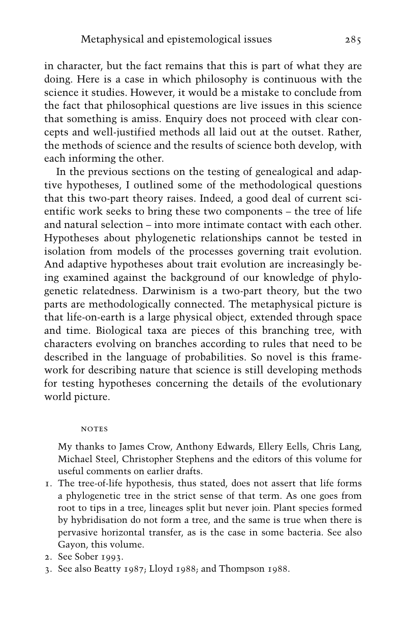in character, but the fact remains that this is part of what they are doing. Here is a case in which philosophy is continuous with the science it studies. However, it would be a mistake to conclude from the fact that philosophical questions are live issues in this science that something is amiss. Enquiry does not proceed with clear concepts and well-justified methods all laid out at the outset. Rather, the methods of science and the results of science both develop, with each informing the other.

In the previous sections on the testing of genealogical and adaptive hypotheses, I outlined some of the methodological questions that this two-part theory raises. Indeed, a good deal of current scientific work seeks to bring these two components – the tree of life and natural selection – into more intimate contact with each other. Hypotheses about phylogenetic relationships cannot be tested in isolation from models of the processes governing trait evolution. And adaptive hypotheses about trait evolution are increasingly being examined against the background of our knowledge of phylogenetic relatedness. Darwinism is a two-part theory, but the two parts are methodologically connected. The metaphysical picture is that life-on-earth is a large physical object, extended through space and time. Biological taxa are pieces of this branching tree, with characters evolving on branches according to rules that need to be described in the language of probabilities. So novel is this framework for describing nature that science is still developing methods for testing hypotheses concerning the details of the evolutionary world picture.

#### **NOTES**

My thanks to James Crow, Anthony Edwards, Ellery Eells, Chris Lang, Michael Steel, Christopher Stephens and the editors of this volume for useful comments on earlier drafts.

- 1. The tree-of-life hypothesis, thus stated, does not assert that life forms a phylogenetic tree in the strict sense of that term. As one goes from root to tips in a tree, lineages split but never join. Plant species formed by hybridisation do not form a tree, and the same is true when there is pervasive horizontal transfer, as is the case in some bacteria. See also Gayon, this volume.
- 2. See Sober 1993.
- 3. See also Beatty 1987; Lloyd 1988; and Thompson 1988.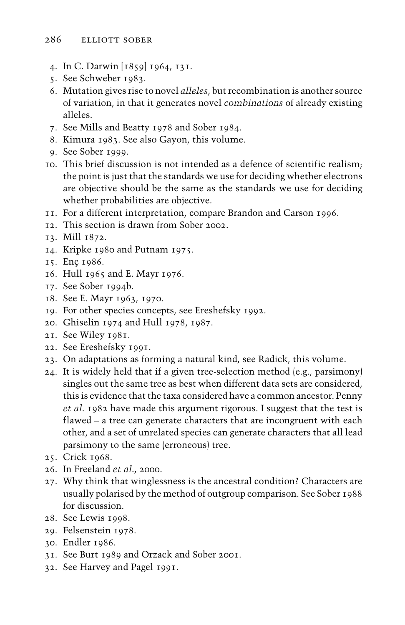- . In C. Darwin [1859] 1964, 131.
- . See Schweber 1983.
- . Mutation gives rise to novel *alleles*, but recombination is another source of variation, in that it generates novel *combinations* of already existing alleles.
- . See Mills and Beatty 1978 and Sober 1984.
- . Kimura 1983. See also Gayon, this volume.
- . See Sober 1999.
- . This brief discussion is not intended as a defence of scientific realism; the point is just that the standards we use for deciding whether electrons are objective should be the same as the standards we use for deciding whether probabilities are objective.
- . For a different interpretation, compare Brandon and Carson 1996.
- . This section is drawn from Sober 2002.
- . Mill 1872.
- . Kripke 1980 and Putnam 1975.
- . Enc¸ 1986.
- . Hull 1965 and E. Mayr 1976.
- . See Sober 1994b.
- . See E. Mayr 1963, 1970.
- . For other species concepts, see Ereshefsky 1992.
- . Ghiselin 1974 and Hull 1978, 1987.
- . See Wiley 1981.
- . See Ereshefsky 1991.
- . On adaptations as forming a natural kind, see Radick, this volume.
- . It is widely held that if a given tree-selection method (e.g., parsimony) singles out the same tree as best when different data sets are considered, this is evidence that the taxa considered have a common ancestor. Penny *et al*. 1982 have made this argument rigorous. I suggest that the test is flawed – a tree can generate characters that are incongruent with each other, and a set of unrelated species can generate characters that all lead parsimony to the same (erroneous) tree.
- . Crick 1968.
- . In Freeland *et al*., 2000.
- 27. Why think that winglessness is the ancestral condition? Characters are usually polarised by the method of outgroup comparison. See Sober 1988 for discussion.
- . See Lewis 1998.
- . Felsenstein 1978.
- . Endler 1986.
- . See Burt 1989 and Orzackand Sober 2001.
- . See Harvey and Pagel 1991.